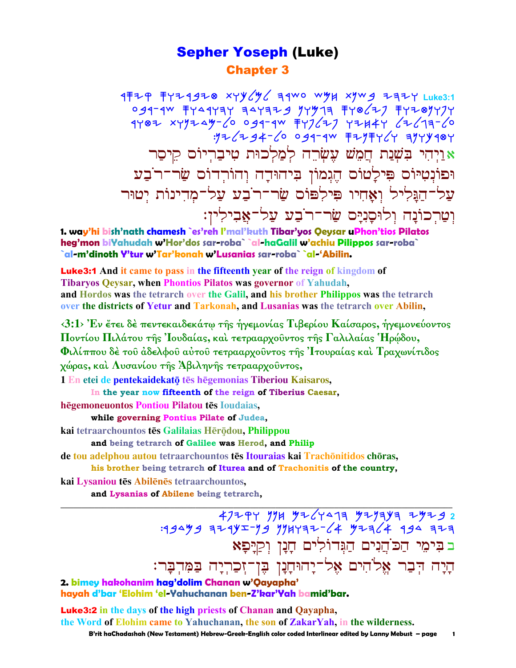# Sepher Yoseph (Luke) Chapter 3

**4年モヤ キャモイタモ® ×イツンツン ミイツ マツロ ×クツタ モミモイ** Luke3:1 og1-1w ቸY41Y3Y ヨ4YヨP*g ソ*Yツ1ヨ ቸY®*८*PJ ቸYP®YYJY 1Y®Z XYYI4Y-60 091-1W FYJ6ZJ YZH4Y 6Z613-60  $:712724-20094-40$  FZYFY24 3749484 אֲ יַיְהִי בִּשְׁנַת חֲמֵשׁ עָשְׂרֵה לְמַלְכוּת טִיבַרִיוֹס קֵיסַר וּפוֹנְטִיּוֹם פִּילַטוֹם הֵגְמוֹן בִיהוּדָה וְהוֹרְדוֹם שַׂר־ר<sup>ּי</sup>בַע צל־הגּליל ואחיו פילפוֹס שׂר־ר<sup>י</sup>בע על־מדינוֹת יטוּר וְטַרְכוֹנַה וְלוּסַנִיַּם שַׂר־ר<sup>ֹ</sup>בָע עַל־אֲבִילִין:

**1. way'hi bish'nath chamesh `es'reh l'mal'kuth Tibar'yos Qeysar uPhon'tios Pilatos heg'mon biYahudah w'Hor'dos sar-roba` `al-haGalil w'achiu Pilippos sar-roba` `al-m'dinoth Y'tur w'Tar'konah w'Lusanias sar-roba` `al-'Abilin.**

Luke3:1 **And it came to pass in the fifteenth year of the reign of kingdom of Tibaryos Qeysar, when Phontios Pilatos was governor of Yahudah, and Hordos was the tetrarch over the Galil, and his brother Philippos was the tetrarch over the districts of Yetur and Tarkonah, and Lusanias was the tetrarch over Abilin,** 

**‹3:1› Ἐν ἔτει δὲ πεντεκαιδεκάτῳ τῆς ἡγεµονίας Τιβερίου Καίσαρος, ἡγεµονεύοντος Ποντίου Πιλάτου τῆς Ἰουδαίας, καὶ τετρααρχοῦντος τῆς Γαλιλαίας Ἡρῴδου, Φιλίππου δὲ τοῦ ἀδελφοῦ αὐτοῦ τετρααρχοῦντος τῆς Ἰτουραίας καὶ Τραχωνίτιδος χώρας, καὶ Λυσανίου τῆς Ἀβιληνῆς τετρααρχοῦντος,**

1 En etei de pentekaidekatō tēs hēgemonias Tiberiou Kaisaros,

**In the year now fifteenth of the reign of Tiberius Caesar,**

**h
gemoneuontos Pontiou Pilatou t
s Ioudaias,** 

**while governing Pontius Pilate of Judea,**

**kai tetraarchountos tēs Galilaias Hērōdou, Philippou** 

**and being tetrarch of Galilee was Herod, and Philip**

de **tou adelphou autou** tetraarchountos tēs Itouraias kai Trachōnitidos chōras,

**his brother being tetrarch of Iturea and of Trachonitis of the country,**

**\_\_\_\_\_\_\_\_\_\_\_\_\_\_\_\_\_\_\_\_\_\_\_\_\_\_\_\_\_\_\_\_\_\_\_\_\_\_\_\_\_\_\_\_\_\_\_\_\_\_\_\_\_\_\_\_\_\_\_\_\_\_\_\_\_\_\_\_\_\_\_\_\_\_\_\_\_\_\_\_\_\_\_\_\_\_\_\_\_\_\_\_\_**

**kai Lysaniou t
s Abil
n
s tetraarchountos,**

**and Lysanias of Abilene being tetrarch,** 

 apyqw nnj Mylwdgh Mynhkh ymyb **2**   $:194$  994  $+35$  1947  $-64$  92  $-64$  92 12 ב בִּימֵי הַכּ`הֵנִים הַגִּדוֹלִים הַנַן וִקַיַפָּא הַיַּה הִבָּר אֱלֹהִים אֱל־יָהוּחָנָן בֶּן־זְכַרְיָה בַּמִּדְבָּר: **2. bimey hakohanim hag'dolim Chanan w'Qayapha'** 

**hayah d'bar 'Elohim 'el-Yahuchanan ben-Z'kar'Yah bamid'bar.**

Luke3:2 **in the days of the high priests of Chanan and Qayapha, the Word of Elohim came to Yahuchanan, the son of ZakarYah, in the wilderness.** 

 **B'rit haChadashah (New Testament) Hebrew-Greek-English color coded Interlinear edited by Lanny Mebust – page 1**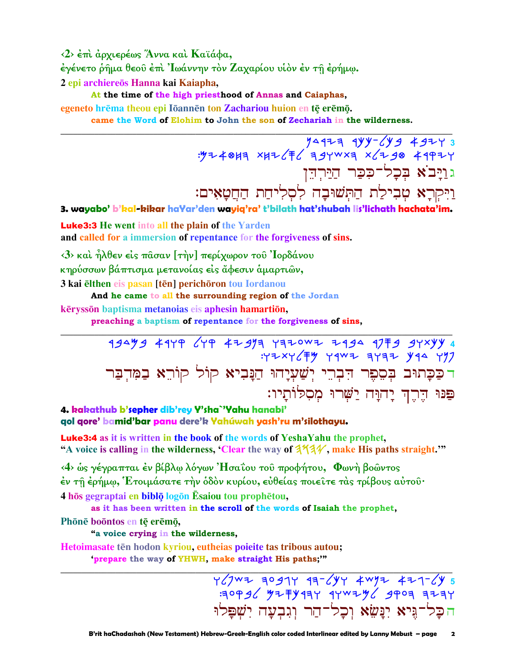<2> έπι άρχιερέως Άννα και Καϊάφα, έγένετο ρήμα θεού έπι Ιωάννην τον Ζαχαρίου υίον έν τη έρήμω. 2 epi archiereōs Hanna kai Kaiapha,

At the time of the high priesthood of Annas and Caiaphas,

egeneto hrēma theou epi Iōannēn ton Zachariou huion en tē erēmō.

came the Word of Elohim to John the son of Zechariah in the wilderness.

3 7497 2 2 2 1 19 14 14 2 2 3<br>۳ 14 14 2 2 3 × 14 14 2 15 14 14 14 14 14 14 14 גוַיָּב<sup>ֹ</sup>א בִּכָל־כִּכַּר הַיַּרִהֵן וַיִּקְרָא טִבְילַת הַתְּשׁוּבָה לְסְלִיחַת הַחֲטָאִים:

3. wayabo' b'kal-kikar haYar'den wayiq'ra' t'bilath hat'shubah lis'lichath hachata'im.

**Luke3:3** He went into all the plain of the Yarden and called for a immersion of repentance for the forgiveness of sins.

 $\langle 3 \rangle$  και ήλθεν είς πάσαν [την] περίχωρον του 'Ιορδάνου κηρύσσων βάπτισμα μετανοίας είς άφεσιν άμαρτιών, 3 kai elthen eis pasan [tēn] perichoron tou Iordanou

And he came to all the surrounding region of the Jordan

kērysson baptisma metanojas eis aphesin hamartion,

preaching a baptism of repentance for the forgiveness of sins,

19449 4149 649 42913 4320WZ 2194 1779 94x44 : YZXY ( F Y Y Y Y X 3 Y 3 Y 44 Y Y 7 רַכַּכְתוּב בְּסֵפֶר הַבְרֵי יְשַׁעְיָהוּ הַנָּבִיא קוֹל קוֹרֵא בַמִּדְבַּר פַּנּוּ הֵרֵךְ יַחוַּה יַשָּׁרוּ מִסְלִוֹתַיו:

4. kakathub b'sepher dib'rey Y'sha`'Yahu hanabi' gol gore' bamid'bar panu dere'k Yahúwah yash'ru m'silothayu.

**Luke3:4** as it is written in the book of the words of YeshaYahu the prophet, "A voice is calling in the wilderness, 'Clear the way of  $3\frac{1}{4}$ , make His paths straight."

<4> ως γέγραπται έν βίβλω λόγων 'Ησαΐου του προφήτου, Φωνή βοώντος έν τῆ ἐρήμω, Έτοιμάσατε τὴν ὁδὸν κυρίου, εὐθείας ποιεῖτε τὰς τρίβους αὐτοῦ· 4 hos gegraptai en biblo logon Esaiou tou prophetou.

as it has been written in the scroll of the words of Isaiah the prophet, Phōnē boōntos en tē erēmō,

"a voice crying in the wilderness,

Hetoimasate tēn hodon kyriou, eutheias poieite tas tribous autou;

'prepare the way of YHWH, make straight His paths;"

 $YZ/7WZ$  a0g1Y 1a- $ZYY$  4wyz 4z1- $ZY$  5  $79996$  92 92 944 944 944 9403 9404 הכל־גֵּיא יִנַּשֵׂא וִכַל־הַר וְגִבְעַה יִשְׁפַּלוּ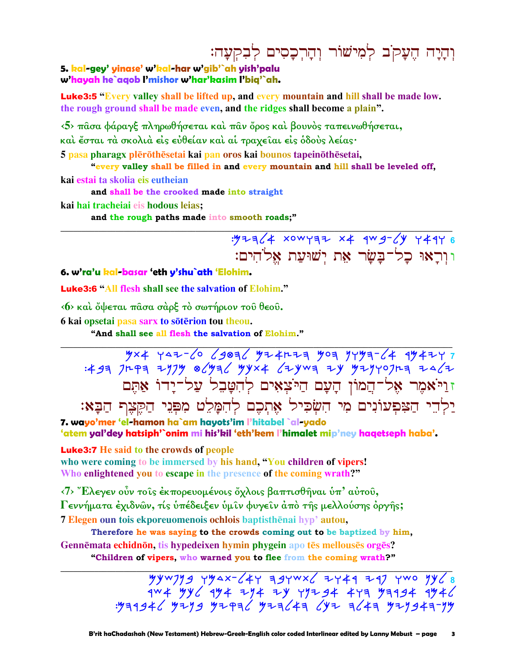# וִהָיָה הֵעֲקֹב לִמְיֹשׁוֹר וְהָרִכָסִים לְבִקִעָּה:

#### 5. kal-gey' yinase' w'kal-har w'gib'`ah yish'palu w'hayah he`aqob I'mishor w'har'kasim I'biq'`ah.

**Luke3:5** "Every valley shall be lifted up, and every mountain and hill shall be made low. the rough ground shall be made even, and the ridges shall become a plain".

 $\langle 5 \rangle$  πασα φάραγξ πληρωθήσεται και παν όρος και βουνος ταπεινωθήσεται, καὶ ἔσται τὰ σκολιὰ εἰς εὐθείαν καὶ αἱ τραχεῖαι εἰς ὁδοὺς λείας·

5 pasa pharagx plērōthēsetai kai pan oros kai bounos tapeinōthēsetai, "every valley shall be filled in and every mountain and hill shall be leveled off,

kai estai ta skolia eis eutheian

and shall be the crooked made into straight

kai hai tracheiai eis hodous leias:

and the rough paths made into smooth roads;"

 $\frac{1}{2}$  = 1/4 xow y = 2 x 4 x 4 x 4 x 4 y + 4 4 x 6 ווראוּ כל־בַּשַׂר אָת יִשׁוּעַת אַלֹהִים:

#### 6. w'ra'u kal-basar 'eth y'shu`ath 'Elohim.

**Luke3:6 "All flesh shall see the salvation of Elohim."** 

(6) και όψεται πάσα σαρξ το σωτήριον του θεου.

6 kai opsetai pasa sarx to sōtērion tou theou.

"And shall see all flesh the salvation of Elohim."

# $\frac{y \times 4 \times 7 - 6}{29836}$  y = 1447 4 y = 1440 4 y = 1440 4 y = 1440 4 y = 1440 4 y = 1440 5<br>+ 3 y = 1497 y = 1440 y = 1440 y = 1440 y = 1440 x = 1440 x = 1440 x = 1440 x = 1440 x = 1440 x = 1440 x = 14 זוַיֹּאמֶר אֶל־הֵמוֹן הַעָם הַיֹּצָאָים לְהִטַּבֶל עַל־יַדוֹ אַתֵּם יַלְדֵי הַצִּפְעוֹנִים מִי הִשְׂכִיל אֶתְכֶם לְהִמָּלֵט מִפְּנֵי הַקֵּצֶף הַבָּא:

7. wayo'mer 'el-hamon ha`am hayots'im l'hitabel `al-yado 'atem yal'dey hatsiph'`onim mi his'kil 'eth'kem l'himalet mip'ney haqetseph haba'.

#### **Luke3:7** He said to the crowds of people

who were coming to be immersed by his hand, "You children of vipers! Who enlightened you to escape in the presence of the coming wrath?"

 $\langle 7 \rangle$  "Ελεγεν ούν τοις έκπορευομένοις όχλοις βαπτισθήναι υπ' αυτου,

Γεννήματα έχιδνών, τίς υπέδειξεν υμιν φυγειν άπο της μελλούσης όργης;

7 Elegen oun tois ekporeuomenois ochlois baptisthēnai hyp' autou,

Therefore he was saying to the crowds coming out to be baptized by him, Gennēmata echidnōn, tis hypedeixen hymin phygein apo tēs mellousēs orgēs?

"Children of vipers, who warned you to flee from the coming wrath?"

 $444$  yywyyg yyax- $44$  39ywx $4$  2444 247 ywo yy $48$ >> 4W4 + 4Y4 + 4Y4 + 4Y4 + 4Y4 + 4Y4 + 4W4<br>אין-דואפנידע דואגד יעג דואגדיע דוידע פנידע גלאפרדע.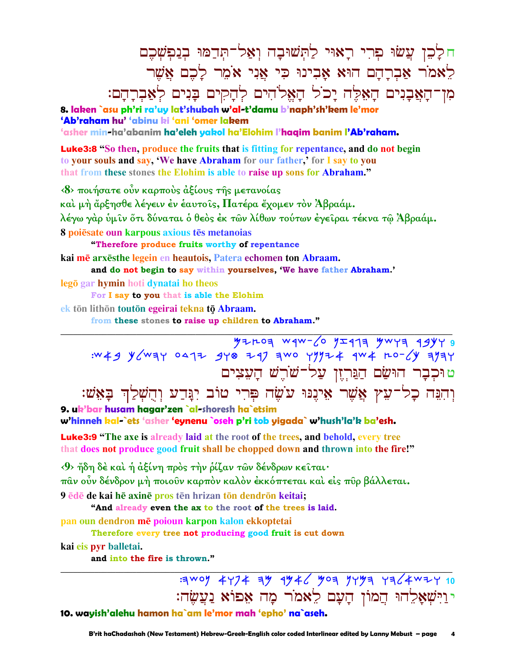ח לַכֵּן עֲשׂוּ פִרִי רַאוּי לַתְּשׁוּבַה וְאַל־תִּדַמּוּ בְנַפְשָׁכֵם לָאמֹר אַבְרַהַם הוּא אַבְינוּ כִּי אֵנִי אֹמֶר לַכֶם אֲשֶׁר ֹמְן־הַאֲבָנִים הַאֵּלֵּה יַכֹל הַאֵלֹהִים לְהַקִים בַּנִים לְאַבְרַהַם:

**8. laken `asu ph'ri ra'uy lat'shubah w'al-t'damu b'naph'sh'kem le'mor 'Ab'raham hu' 'abinu ki 'ani 'omer lakem** 

**'asher min-ha'abanim ha'eleh yakol ha'Elohim l'haqim banim l'Ab'raham.**

Luke3:8 **"So then, produce the fruits that is fitting for repentance, and do not begin to your souls and say, 'We have Abraham for our father,' for I say to you that from these stones the Elohim is able to raise up sons for Abraham."**

**‹8› ποιήσατε οὖν καρποὺς ἀξίους τῆς µετανοίας καὶ µὴ ἄρξησθε λέγειν ἐν ἑαυτοῖς, Πατέρα ἔχοµεν τὸν Ἀβραάµ. λέγω γὰρ ὑµῖν ὅτι δύναται ὁ θεὸς ἐκ τῶν λίθων τούτων ἐγεῖραι τέκνα τῷ Ἀβραάµ. 8 poi
sate oun karpous axious t
s metanoias "Therefore produce fruits worthy of repentance kai m
 arx
sthe legein en heautois, Patera echomen ton Abraam. and do not begin to say within yourselves, 'We have father Abraham.' lego** gar **hymin** hoti dynatai ho theos **For I say to you that is able the Elohim**

**ek ton lithon touton egeirai tekna to Abraam.** 

**from these stones to raise up children to Abraham."** 

**\_\_\_\_\_\_\_\_\_\_\_\_\_\_\_\_\_\_\_\_\_\_\_\_\_\_\_\_\_\_\_\_\_\_\_\_\_\_\_\_\_\_\_\_\_\_\_\_\_\_\_\_\_\_\_\_\_\_\_\_\_\_\_\_\_\_\_\_\_\_\_\_\_\_\_\_\_\_\_\_\_\_\_\_\_\_\_\_\_\_\_\_\_** Myeoh crc-lo nzrgh Mcwh rbkw **9**   $:w \nless 9$  y/way 0412 9y0 297 awo yyyz 4 4w 4 ro-/y ayay ט וּכְבָר הוּשַׂם הַנֵּרְיֵן עַל־שֹׁרֵשׁ הַעִצִים :יִהְנֵּה כָל־עֵץ אֲשֵׁר אֵינֵנּוּ עֹשֵׂה פִּרִי טוֹב יִנֲדַע וְהֻשָׁלַךְ בָּאֵשׁ **9. uk'bar husam hagar'zen `al-shoresh ha`etsim** 

#### **w'hinneh kal-`ets 'asher 'eynenu `oseh p'ri tob yigada` w'hush'la'k ba'esh.**

Luke3:9 **"The axe is already laid at the root of the trees, and behold, every tree that does not produce good fruit shall be chopped down and thrown into the fire!"**

**‹9› ἤδη δὲ καὶ ἡ ἀξίνη πρὸς τὴν ῥίζαν τῶν δένδρων κεῖται· πᾶν οὖν δένδρον µὴ ποιοῦν καρπὸν καλὸν ἐκκόπτεται καὶ εἰς πῦρ βάλλεται.**  9 *ede* de kai he axine pros ten hrizan ton dendron keitai;

**"And already even the ax to the root of the trees is laid.**

**pan oun dendron m
 poioun karpon kalon ekkoptetai** 

**Therefore every tree not producing good fruit is cut down**

**kai eis pyr balletai.** 

**and into the fire is thrown."** 

**\_\_\_\_\_\_\_\_\_\_\_\_\_\_\_\_\_\_\_\_\_\_\_\_\_\_\_\_\_\_\_\_\_\_\_\_\_\_\_\_\_\_\_\_\_\_\_\_\_\_\_\_\_\_\_\_\_\_\_\_\_\_\_\_\_\_\_\_\_\_\_\_\_\_\_\_\_\_\_\_\_\_\_\_\_\_\_\_\_\_\_\_\_ EXECUTE:** APPA 1946 903 9493 4364 WH 10 י וַיִּשְׁאָלֵהוּ הַמוֹן הָעָם לֵאמֹר מַה אַפוֹא נַעֲשֵׂה:

**10. wayish'alehu hamon ha`am le'mor mah 'epho' na`aseh.**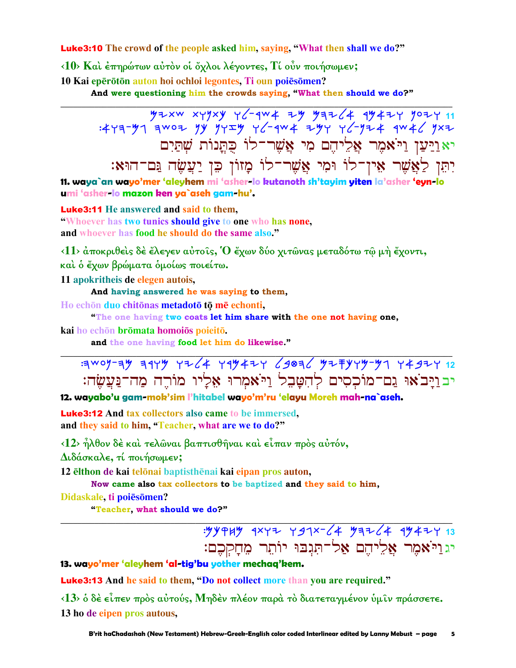**Luke3:10** The crowd of the people asked him, saving, "What then shall we do?"

<10> Και έπηρώτων αύτον οι όχλοι λέγοντες, Τι ούν ποιήσωμεν;

10 Kai epērōtōn auton hoi ochloi legontes. Ti oun poiesōmen?

And were questioning him the crowds saying, "What then should we do?"

יאַוַיַּעַן וַיֹּאמֶר אֱלִיהֶם מִי אֲשֶׁר־לוֹ כִּתֲנוֹת שִׁתַּיִם יְתֵּן לַאֲשֶׁר אֵין־לוֹ וּמִי אֲשֶׁר־לוֹ מַזוֹן כֵּן יַעֲשֶׂה גַּם־הוּא:

11. waya`an wayo'mer 'aleyhem mi 'asher-lo kutanoth sh'tayim yiten la'asher 'eyn-lo umi 'asher-lo mazon ken ya`aseh gam-hu'.

**Luke3:11** He answered and said to them.

"Whoever has two tunics should give to one who has none, and whoever has food he should do the same also."

 $\langle 11 \rangle$  αποκριθείς δε έλεγεν αύτοις, Ο έχων δύο χιτώνας μεταδότω τω μή έχοντι,

και ο έγων βρώματα ομοίως ποιείτω.

11 apokritheis de elegen autois,

And having answered he was saying to them,

Ho echon duo chitonas metadoto to me echonti.

"The one having two coats let him share with the one not having one,

kai ho echōn brōmata homoiōs poieitō.

and the one having food let him do likewise."

 $309 - 39$  3449 +2/4 +4942+ /303/ 92744741 +432+ 12 יבויבצו גם־מוכסים להטבל ויאמרו אליו מורה מה־נַעֲשֶׂה:

12. wayabo'u gam-mok'sim l'hitabel wayo'm'ru 'elayu Moreh mah-na`aseh.

**Luke3:12** And tax collectors also came to be immersed, and they said to him, "Teacher, what are we to do?"

<12> ήλθον δέ και τελώναι βαπτισθήναι και είπαν προς αύτόν,

Διδάσκαλε, τί ποιήσωμεν;

12 elthon de kai telonai baptisthenai kai eipan pros auton,

Now came also tax collectors to be baptized and they said to him,

Didaskale, ti poiēsomen?

"Teacher, what should we do?"

יגוַיֹּאמֶר אֱלֵיהֶם אֱלֹ־תְּגִבוּ יוֹתֶר מֶחַקִּכֶם:

13. wayo'mer 'aleyhem 'al-tig'bu yother mechaq'kem.

**Luke3:13** And he said to them, "Do not collect more than you are required."

<13> ο δέ είπεν πρός αύτούς, Μηδέν πλέον παρά το διατεταγμένον ύμιν πράσσετε. 13 ho de eipen pros autous,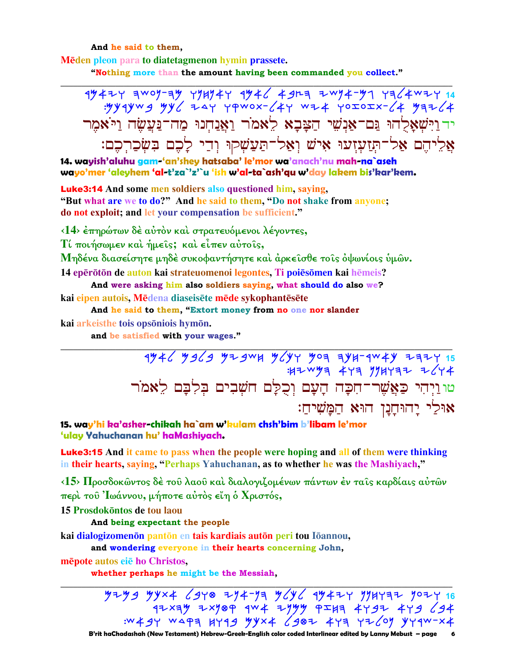And he said to them,

Mēden pleon para to diatetagmenon hymin prassete.

"Nothing more than the amount having been commanded you collect."

# $\frac{4}{4}$  awoy-ay ryuy4r  $\frac{4}{4}$  and  $\frac{4}{4}$  and  $\frac{4}{4}$  and  $\frac{4}{4}$  and  $\frac{4}{4}$  and  $\frac{4}{4}$  and  $\frac{4}{4}$  and  $\frac{4}{4}$  and  $\frac{4}{4}$  and  $\frac{4}{4}$  and  $\frac{4}{4}$  and  $\frac{4}{4}$  and  $\frac{4}{4}$  and  $\frac{4}{4}$  and יד וַיִּשְׁאַלְהוּ נֵּם־אַנְשֵׁי הַצָּבָא לֵאמֹר וַאֲנַחִנוּ מַה־נַּעֲשֶׂה וַיֹּאמֶר אַלֵיהֵם אַל־תִּזַעְזָעוּ אִישׁ וְאָל־תַּעֲשָׁקוּ וְדֵי לַכֶם בִּשְׂכַרְכֶם:

14. wayish'aluhu gam-'an'shey hatsaba' le'mor wa'anach'nu mah-na`aseh wayo'mer 'aleyhem 'al-t'za`'z'`u 'ish w'al-ta`ash'gu w'day lakem bis'kar'kem.

**Luke3:14** And some men soldiers also questioned him, saying, "But what are we to do?" And he said to them, "Do not shake from anyone; do not exploit; and let your compensation be sufficient."

<14> έπηρώτων δέ αύτον και στρατευόμενοι λέγοντες,

Τί ποιήσωμεν και ήμεις; και είπεν αύτοις,

Μηδένα διασείσητε μηδέ συκοφαντήσητε και άρκεισθε τοις οψωνίοις υμών.

14 epērōtōn de auton kai strateuomenoi legontes. Ti poiēsōmen kai hēmeis?

And were asking him also soldiers saying, what should do also we? kai eipen autois. Mēdena diaseisēte mēde sykophantēsēte

And he said to them, "Extort money from no one nor slander kai arkeisthe tois opsōniois hymōn.

and be satisfied with your wages."

 $4\frac{4}{6}$   $\frac{4}{6}$   $\frac{4}{3}$   $\frac{4}{3}$   $\frac{4}{3}$   $\frac{4}{3}$   $\frac{4}{3}$   $\frac{4}{3}$   $\frac{4}{3}$   $\frac{4}{3}$   $\frac{4}{3}$   $\frac{4}{3}$   $\frac{4}{3}$   $\frac{4}{3}$   $\frac{4}{3}$   $\frac{4}{3}$   $\frac{4}{3}$   $\frac{4}{3}$   $\frac{4}{3}$   $\frac{4}{3}$   $\frac{4}{3}$   $\frac{4}{3}$   $4744$   $473$   $194777$   $2644$ טוּוַיְהִי כַּאֲשֶׁר־חִכָּה הָעָם וִכְלַּם חֹשִׁבִים בִּלְבַּם לַאמֹר אוּלי יהוּחנו הוּא המֹשיח:

15. way'hi ka'asher-chikah ha`am w'kulam chsh'bim b'libam le'mor 'ulay Yahuchanan hu' haMashiyach.

**Luke3:15** And it came to pass when the people were hoping and all of them were thinking in their hearts, saying, "Perhaps Yahuchanan, as to whether he was the Mashiyach,"

<15> Προσδοκώντος δέ του λαου και διαλογιζομένων πάντων έν ταις καρδίαις αύτών περί του Ιωάννου, μήποτε αύτός είη ό Χριστός,

15 Prosdokontos de tou laou

And being expectant the people

kai dialogizomenon panton en tais kardiais auton peri tou Ioannou,

and wondering everyone in their hearts concerning John,

mēpote autos eie ho Christos,

whether perhaps he might be the Messiah,

 $7799$   $7944$   $6370$   $77473$   $764$   $19471$   $1911737$   $1971$   $16$  $47x4y$   $7x709$   $4w4$   $77y$   $9549$   $4797$   $479$   $694$ :W49Y WAPA HYA9 54X4 6907 447 4769 4474 4

B'rit haChadashah (New Testament) Hebrew-Greek-English color coded Interlinear edited by Lanny Mebust – page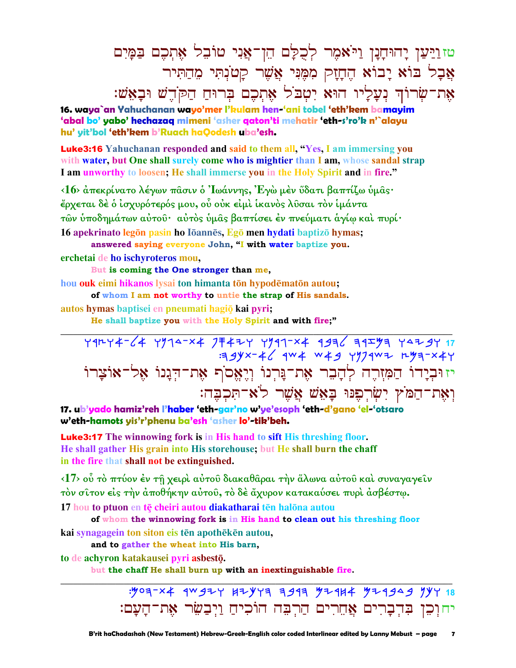טזוַיַּעַן יָהוּחָנָן וַיֹּאמִר לְכָלַם הֵן־אֲנִי טוֹבִל אָתִכֶם בַּמַּיִם  $\boldsymbol{z}$ אֲבָל בּוֹא יָבוֹא הֵחָזָק מִמֵּנִּי אֲשֶׁר קַטֹנְתִּי מֵחַתִּיר אָת־שׂרוֹךְ נִעֲלֵיו הוּא יִטְבֹל אֶתְכֶם בְּרוּחַ הַקֹּדֵשׁ וּבַאֲשׁ:

**16. waya`an Yahuchanan wayo'mer l'kulam hen-'ani tobel 'eth'kem bamayim 'abal bo' yabo' hechazaq mimeni 'asher qaton'ti mehatir 'eth-s'ro'k n'`alayu hu' yit'bol 'eth'kem b'Ruach haQodesh uba'esh.**

Luke3:16 **Yahuchanan responded and said to them all, "Yes, I am immersing you with water, but One shall surely come who is mightier than I am, whose sandal strap I am unworthy to loosen; He shall immerse you in the Holy Spirit and in fire."** 

**‹16› ἀπεκρίνατο λέγων πᾶσιν ὁ Ἰωάννης, Ἐγὼ µὲν ὕδατι βαπτίζω ὑµᾶς· ἔρχεται δὲ ὁ ἰσχυρότερός µου, οὗ οὐκ εἰµὶ ἱκανὸς λῦσαι τὸν ἱµάντα τῶν ὑποδηµάτων αὐτοῦ· αὐτὸς ὑµᾶς βαπτίσει ἐν πνεύµατι ἁγίῳ καὶ πυρί·** 

16 apekrinato legon pasin ho Ioannes, Ego men hydati baptizo hymas; **answered saying everyone John, "I with water baptize you.**

**erchetai de ho ischyroteros mou,** 

 **But is coming the One stronger than me,**

**hou ouk eimi hikanos** lysai ton himanta tōn hypodēmatōn autou;

 **of whom I am not worthy to untie the strap of His sandals.**

**autos hymas** baptisei en pneumati hagiō kai pyri;

**He shall baptize you with the Holy Spirit and with fire;"** 

<u>Y9HY4-64 Y914-X4 JF4ฝY Y991-X4 9936 ヨ9エツ╕ Y4も9Y 17</u> :49YX-46 9W4 W49 YYJ9WZ rya-X4Y יזוּבְיָדוֹ הַמִּזְרֶה לְהָבֵר אֶת־נִּרְנוֹ וְיֶאֱסֹף אֶת־הִנָנוֹ אֶל־אוֹצָרוֹ :דאת־המֹץ יִשׂרְפִנּוּ בַּאָ*ּיֹשׁ אֲשֶׁר לֹא*־תַּכְבֵה

**\_\_\_\_\_\_\_\_\_\_\_\_\_\_\_\_\_\_\_\_\_\_\_\_\_\_\_\_\_\_\_\_\_\_\_\_\_\_\_\_\_\_\_\_\_\_\_\_\_\_\_\_\_\_\_\_\_\_\_\_\_\_\_\_\_\_\_\_\_\_\_\_\_\_\_\_\_\_\_\_\_\_\_\_\_\_\_\_\_\_\_\_\_**

**17. ub'yado hamiz'reh l'haber 'eth-gar'no w'ye'esoph 'eth-d'gano 'el-'otsaro w'eth-hamots yis'r'phenu ba'esh 'asher lo'-tik'beh.**

Luke3:17 **The winnowing fork is in His hand to sift His threshing floor. He shall gather His grain into His storehouse; but He shall burn the chaff in the fire that shall not be extinguished.** 

**‹17› οὗ τὸ πτύον ἐν τῇ χειρὶ αὐτοῦ διακαθᾶραι τὴν ἅλωνα αὐτοῦ καὶ συναγαγεῖν τὸν σῖτον εἰς τὴν ἀποθήκην αὐτοῦ, τὸ δὲ ἄχυρον κατακαύσει πυρὶ ἀσβέστῳ.** 

17 hou to ptuon en te cheiri autou diakatharai ten halona autou

 **of whom the winnowing fork is in His hand to clean out his threshing floor** kai synagagein ton siton eis ten apotheken autou,

**\_\_\_\_\_\_\_\_\_\_\_\_\_\_\_\_\_\_\_\_\_\_\_\_\_\_\_\_\_\_\_\_\_\_\_\_\_\_\_\_\_\_\_\_\_\_\_\_\_\_\_\_\_\_\_\_\_\_\_\_\_\_\_\_\_\_\_\_\_\_\_\_\_\_\_\_\_\_\_\_\_\_\_\_\_\_\_\_\_\_\_\_\_**

 **and to gather the wheat into His barn,**

**to de achyron katakausei pyri asbestō**.

**but the chaff He shall burn up with an inextinguishable fire.** 

:Moh-ta rcbyw jykwh hbrh Myrja Myrbdb nkw **18**  יחוכן ברברים אחרים הרבה הוכיח ויבשׂר את־העם: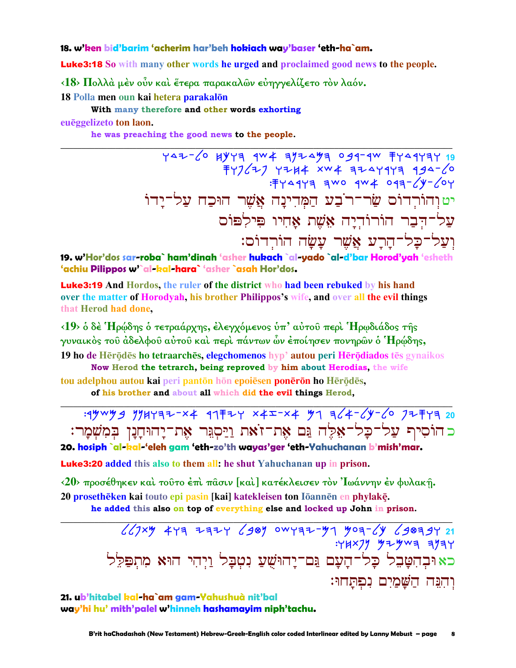#### 18. w'ken bid'barim 'acherim har'beh hokiach way'baser 'eth-ha`am.

**Luke3:18** So with many other words he urged and proclaimed good news to the people.

<18> Πολλά μέν οὖν καί ἔτερα παρακαλῶν εὐηγγελίζετο τὸν λαόν.

18 Polla men oun kai hetera parakalōn

With many therefore and other words exhorting

euēggelizeto ton laon.

he was preaching the good news to the people.

YAZ-60 HYYA AW4 AYIAYA 094-4W FYA4YAY 19  $79227$   $7744$   $xw4$   $7247977$   $994-20$ : FY 44Y = TWO 4W + 043-/4-/04 יט וְהוֹרְדוֹס שַׂר־רֹבַע הַמִּדִינָה אֲשֵׁר הוּכַח עַל־יַדוֹ עֲל־הִבָר הוֹרוֹדְיַה אֱשֶׁת אֲחִיו פִּילִפּוֹס וִעֲל־כָל־הַרַע אֲשֶׁר עַשַׂה הוֹרְדוֹם:

19. w'Hor'dos sar-roba` ham'dinah 'asher hukach `al-yado `al-d'bar Horod'yah 'esheth 'achiu Pilippos w'al-kal-hara' 'asher 'asah Hor'dos.

**Luke3:19** And Hordos, the ruler of the district who had been rebuked by his hand over the matter of Horodyah, his brother Philippos's wife, and over all the evil things that Herod had done.

<19> ο δέ Ήρώδης ο τετραάρχης, έλεγχόμενος υπ' αυτου περί Ήρωδιάδος της γυναικός του άδελφου αύτου καί περί πάντων ὧν έποίησεν πονηρῶν ὁ Ήρώδης, 19 ho de Hērōdēs ho tetraarchēs, elegchomenos hyp' autou peri Hērōdiados tēs gynaikos Now Herod the tetrarch, being reproved by him about Herodias, the wife tou adelphou autou kai peri pantōn hōn epoiēsen ponērōn ho Hērōdēs,

of his brother and about all which did the evil things Herod,

 $:4\frac{1}{4}\frac{1}{4}\frac{1}{4}\frac{1}{4}$  11732-x4 417724 417724 41724 42124 42124 42124 42124 42124 42124 42124 42124 42124 42124 42124 42124 42124 42124 42124 42124 42124 42124 42124 42124 42124 42124 42124 42124 42124 42124 42124 כהוֹסִיף עֲל־כַל־אָלֵה נֵּם אֶת־זֹאת וַיַּסְגֵּר אֶת־יָהוּחָנָן בִּמְשִׁמָר: 20. hosiph `al-kal-'eleh gam 'eth-zo'th wayas'ger 'eth-Yahuchanan b'mish'mar.

**Luke3:20** added this also to them all: he shut Yahuchanan up in prison.

<20> προσέθηκεν και τούτο έπι πάσιν [και] κατέκλεισεν τον 'Ιωάννην έν φυλακή. 20 prosethēken kai touto epi pasin [kai] katekleisen ton Iōannēn en phylakē.

he added this also on top of everything else and locked up John in prison.

 $647xy$  443 2324 6989 0WY32-41 403-64 698394 21 :YHX77 37-3wa a7ay כאוּבְהִטָּבֵל כָּל־הָעָם גַּם־יָהוּשָׁעַ נִטִבָּל וַיִהִי הוּא מִתְפַּלֵּל והנה השמים נפתחו:

21. ub'hitabel kal-ha`am gam-Yahushuà nit'bal way'hi hu' mith'palel w'hinneh hashamayim niph'tachu.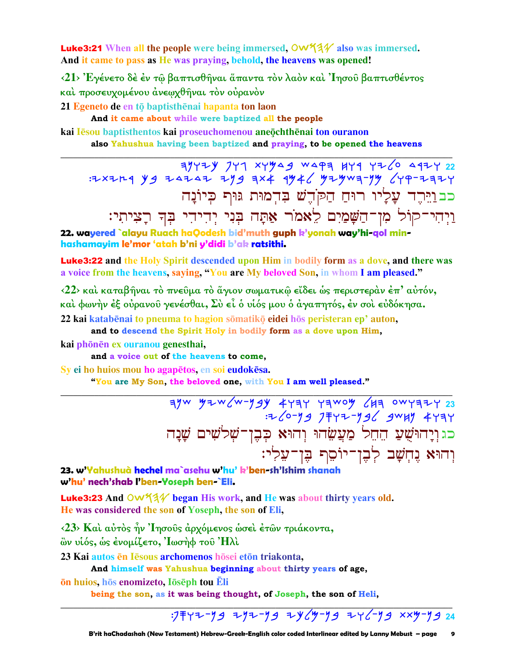**Luke3:21** When all the people were being immersed,  $\text{OW44}$  also was immersed. And it came to pass as He was praying, behold, the heavens was opened!

<21> Έγένετο δέ έν τῷ βαπτισθῆναι ἅπαντα τὸν λαὸν καὶ 'Ιησοῦ βαπτισθέντος καὶ προσευχομένου ἀνεωχθῆναι τὸν οὐρανὸν

21 Egeneto de en tō baptisthēnai hapanta ton laon

And it came about while were baptized all the people

kai lēsou baptisthentos kai proseuchomenou aneochthēnai ton ouranon also Yahushua having been baptized and praying, to be opened the heavens

כבוַיֵּרֶד עָלְיוּ רוּחַ הַקֹּדֶשׁ בִּדְמוּת גּוּף כִּיוֹנָה וַיְהִי־קוֹל מְן־הַשַּׁמַיִם לֵאמֹר אַתֲה בִּנִי יִהְיהִי בִּהְ רַצִיתִי:

22. wayered `alayu Ruach haQodesh bid'muth guph k'yonah way'hi-gol minhashamayim le'mor 'atah b'ni y'didi b'ak ratsithi.

**Luke3:22** and the Holy Spirit descended upon Him in bodily form as a dove, and there was a voice from the heavens, saying, "You are My beloved Son, in whom I am pleased."

<22> και καταβήναι το πνεύμα το άγιον σωματικώ είδει ως περιστεραν έπ' αύτόν, και φωνήν έξ ουρανού γενέσθαι, Σύ εί ο υίός μου ο άγαπητός, έν σοι ευδόκησα. 22 kai katabēnai to pneuma to hagion sōmatikō eidei hōs peristeran ep' auton,

and to descend the Spirit Holy in bodily form as a dove upon Him,

kai phōnēn ex ouranou genesthai,

and a voice out of the heavens to come,

Sy ei ho huios mou ho agapetos, en soi eudokesa.

"You are My Son, the beloved one, with You I am well pleased."

 $\frac{1}{3}$  3yw y=w (w-ygy 4434 Yawoy (Ha owya=y 23 כג וָיָהוּשֵׁעַ הֶחֱל מַעֲשֶׂהוּ וְהוּא כִּבֵן־שָׁלֹשִׁים שָׁנָה וְהוּא נֵחְשָׁב לְבֶן־יוֹסֵת בֶּן־עֲלְי:

23. w'Yahushuà hechel ma`asehu w'hu' k'ben-sh'Ishim shanah w'hu' nech'shab l'ben-Yoseph ben-`Eli.

Luke3:23 And OW531/ began His work, and He was about thirty years old. He was considered the son of Yoseph, the son of Eli,

<23> Και αύτος ήν Ίησους άρχόμενος ώσει έτων τριάκοντα, ὢν υἱός, ως ἐνομίζετο, Ἰωσήφ τοῦ Ήλὶ

23 Kai autos ēn Iēsous archomenos hōsei etōn triakonta,

And himself was Yahushua beginning about thirty years of age,

<u>ōn huios, hōs enomizeto, lōsēph tou Ēli</u>

being the son, as it was being thought, of Joseph, the son of Heli,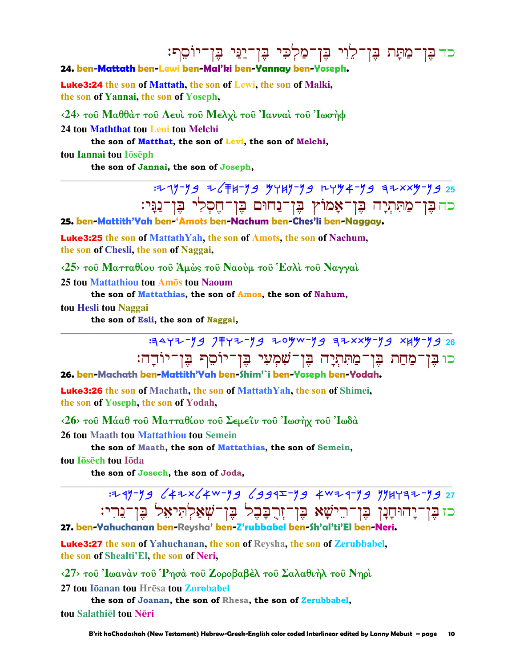# כד בֶּן־מַתָּת בֶּן־לֵוִי בֶּן־מַלְכִי בֶּן־יַנַּי בֶּן־יוֹסֵת:

## 24. ben-Mattath ben-Lewi ben-Mal'ki ben-Yannay ben-Yoseph.

**Luke3:24** the son of Mattath, the son of Lewi, the son of Malki, the son of Yannai, the son of Yoseph,

 $\langle 24 \rangle$  του Μαθθάτ του Λευί του Μελχί του 'Ιανναί του 'Ιωσήφ

24 tou Maththat tou Leui tou Melchi

the son of Matthat, the son of Levi, the son of Melchi,

tou Iannai tou Ioseph

the son of Jannai, the son of Joseph,

: 19-99 Z (FH-99 94H)-99 LY94-99 FZXX9-99 25 כה בֶּן־מַתִּתְיָה בֶּן־אָמוֹץ בֶּן־נַחוּם בֶּן־חֶסְלִי בֶּן־נַגָּי:

## 25. ben-Mattith'Yah ben-'Amots ben-Nachum ben-Ches'li ben-Naggay.

**Luke3:25** the son of MattathYah, the son of Amots, the son of Nachum, the son of Chesli, the son of Naggai,

<25> του Ματταθίου του Άμώς του Ναούμ του Έσλι του Ναγγαι

25 tou Mattathiou tou Amos tou Naoum

the son of Mattathias, the son of Amos, the son of Nahum,

tou Hesli tou Naggai

the son of Esli, the son of Naggai,

3442-79 7742-79 204w-79 32xx4-79 xx4-79 26 כו בֶּן־מַחַת בֶּן־מַתִּתְיָה בֶּן־שִׁמְעִי בֶּן־יוֹסֵף בֶּן־יוֹדָה:

# 26. ben-Machath ben-Mattith'Yah ben-Shim'`i ben-Yoseph ben-Yodah.

**Luke3:26** the son of Machath, the son of MattathYah, the son of Shimei, the son of Yoseph, the son of Yodah,

<26> του Μάαθ του Ματταθίου του Σεμεΐν του Ιωσήχ του Ιωδά

26 tou Maath tou Mattathiou tou Semein

the son of Maath, the son of Mattathias, the son of Semein,

tou Jōsēch tou Jōda

the son of Josech, the son of Joda,

כז בֶּן־יָרהוּחָנָן בֶּן־רֵישָׁא בֶּן־זְרֻבָּבֶל בֶּן־שִׁאַלִתִּיאָל בֵּן־נֵרִי:

#### 27. ben-Yahuchanan ben-Revsha' ben-Z'rubbabel ben-Sh'al'ti'El ben-Neri

**Luke3:27** the son of Yahuchanan, the son of Reysha, the son of Zerubbabel, the son of Shealti'El, the son of Neri,

<27> του Ιωανάν του Ρησά του Ζοροβαβέλ του Σαλαθιήλ του Νηρί

27 tou Iōanan tou Hrēsa tou Zorobabel

the son of Joanan, the son of Rhesa, the son of Zerubbabel, tou Salathiel tou Neri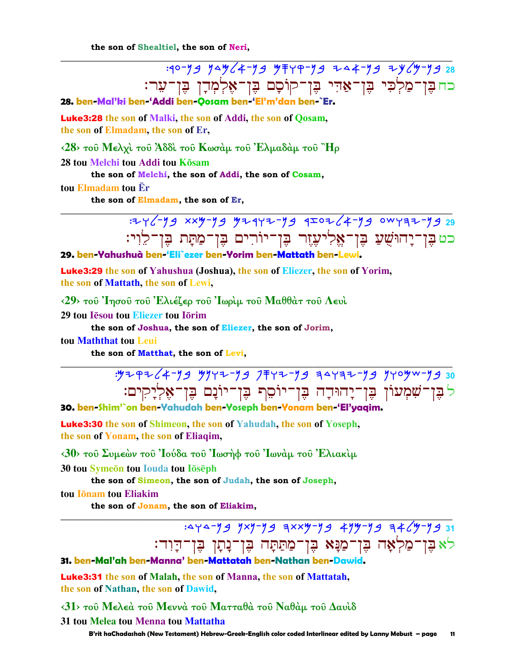the son of Shealtiel, the son of Neri,

:40-79 744 (4-79 474-79 744-79 74(7-79 28 כח בֶּן־מַלְכִי בֶּן־אַדִּי בֶּן־קוֹסָם בֶּן־אֶלְמְדָן בֶּן־עֵר:

28. ben-Mal'ki ben-'Addi ben-Oosam ben-'El'm'dan ben-`Er

**Luke3:28** the son of Malki, the son of Addi, the son of Qosam, the son of Elmadam, the son of Er,

 $\langle 28 \rangle$  του Μελχί του Άδδί του Κωσάμ του Έλμαδάμ του "Ηρ

28 tou Melchi tou Addi tou Kōsam

the son of Melchi, the son of Addi, the son of Cosam,

tou Elmadam tou Er

the son of Elmadam, the son of Er,



29. ben-Yahushuà ben-'Eli`ezer ben-Yorim ben-Mattath ben-Lewi.

**Luke3:29** the son of Yahushua (Joshua), the son of Eliezer, the son of Yorim, the son of Mattath, the son of Lewi,

 $\langle 29 \rangle$  τοῦ 'Ιησοῦ τοῦ 'Ελιέζερ τοῦ 'Ιωρὶμ τοῦ Μαθθὰτ τοῦ Λευὶ

29 tou Iesou tou Eliezer tou Iorim

the son of Joshua, the son of Eliezer, the son of Jorim,

tou Maththat tou Leui

the son of Matthat, the son of Levi,

לֹבֶּן־שִׁמְעוֹן בֶּן־יָהוּדָה בֶּן־יוֹסֵף בֶּן־יוֹנָם בֶּן־אֶלְיָקִים:

30. ben-Shim'`on ben-Yahudah ben-Yoseph ben-Yonam ben-'El'yaqim.

**Luke3:30** the son of Shimeon, the son of Yahudah, the son of Yoseph, the son of Yonam, the son of Eliaqim,

 $\langle 30 \rangle$  του Συμεών του 'Ιούδα του 'Ιωσήφ του 'Ιωνάμ του 'Ελιακίμ

30 tou Symeon tou Iouda tou Ioseph

the son of Simeon, the son of Judah, the son of Joseph,

tou **I**onam tou Eliakim

the son of Jonam, the son of Eliakim,

:4 4-93 7x9-93 3xx4-93 494-93 34 64-93 31 לא בֵּן־מַלְאָה בֶּן־מַנָּא בֶּן־מַתַּתָּה בֶּן־נָתָן בֶּן־דָוִד: 31. ben-Mal'ah ben-Manna' ben-Mattatah ben-Nathan ben-Dawid

**Luke3:31** the son of Malah, the son of Manna, the son of Mattatah, the son of Nathan, the son of Dawid,

 $\langle 31 \rangle$  τοῦ Μελεὰ τοῦ Μεννὰ τοῦ Ματταθὰ τοῦ Ναθὰμ τοῦ Δαυὶδ

31 tou Melea tou Menna tou Mattatha

B'rit haChadashah (New Testament) Hebrew-Greek-English color coded Interlinear edited by Lanny Mebust - page 11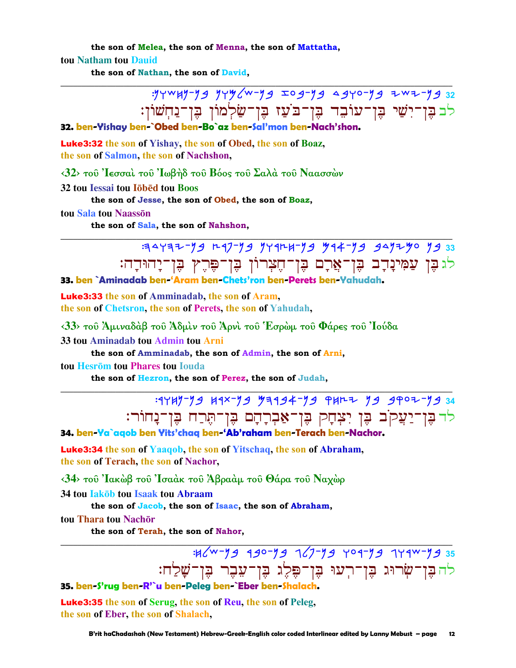the son of Melea, the son of Menna, the son of Mattatha, tou Natham tou Dauid

the son of Nathan, the son of David,

:yywHy-yg yyy (w-yg Iog-yg agyo-yg Zwz-yg 32 לב בֶּן־יִשַׁי בֶּן־עוֹבֵד בֶּן־בֹּעַז בֶּן־שַׂלְמוֹן בֶּן־נַחְשׁוֹן:

## 32. ben-Yishay ben-`Obed ben-Bo`az ben-Sal'mon ben-Nach'shon

Luke3:32 the son of Yishay, the son of Obed, the son of Boaz, the son of Salmon, the son of Nachshon,

 $\langle 32 \rangle$  του 'Ιεσσαί του 'Ιωβήδ του Βόος του Σαλά του Ναασσών

32 tou Iessai tou lõbed tou Boos

the son of Jesse, the son of Obed, the son of Boaz,

tou Sala tou Naasson

the son of Sala, the son of Nahshon,

E E E P A THE E E T-FA E T-FA THET? B T-FFF ET ET FFFFF לגַבֶּן עַמִּינָדָב בֶּן־אֲרָם בֶּן־חֶצְרוֹן בֶּן־פֶּרֶץ בֶּן־יָהוּדָה: 33. ben `Aminadab ben-'Aram ben-Chets'ron ben-Perets ben-Yahudah.

**Luke3:33** the son of Amminadab, the son of Aram, the son of Chetsron, the son of Perets, the son of Yahudah,

 $\langle 33 \rangle$  του Άμιναδάβ του Άδμιν του Άρνι του Έσρωμ του Φάρες του Ιούδα

33 tou Aminadab tou Admin tou Arni

the son of Amminadab, the son of Admin, the son of Arni,

tou Hesrōm tou Phares tou Iouda

the son of Hezron, the son of Perez, the son of Judah,

: 1449-79 41x-79 73194-79 PHRZ 79 9902-79 34 לר בֵּוְ־יַעֲקֹב בֵּוְ יִצְחָק בֵּוְ־אֲבְרָחָם בֵּוְ־הֵרַח בֵּוְ־נָחוֹר:

34. ben-Ya`aqob ben Yits'chaq ben-'Ab'raham ben-Terach ben-Nachor.

**Luke3:34** the son of Yaagob, the son of Yitschaq, the son of Abraham, the son of Terach, the son of Nachor,

<34> του Ιακώβ του Ισαάκ του Άβραάμ του Θάρα του Ναχώρ

34 tou **Iakob** tou Isaak tou Abraam

the son of Jacob, the son of Isaac, the son of Abraham,

tou Thara tou Nachor

the son of Terah, the son of Nahor.

:H/W-Y9 990-Y9 7/7-Y9 709-Y9 779W-Y9 35 לה בֵּוְ־שִׂרוּג בֵּוְ־רִעוּ בֵּוְ־פֵּלֵג בֵּוְ־עֵבֶר בֵּוְ־שַׁלַַח:

35. ben-S'rug ben-R'`u ben-Peleg ben-`Eber ben-Shalach.

Luke3:35 the son of Serug, the son of Reu, the son of Peleg, the son of Eber, the son of Shalach,